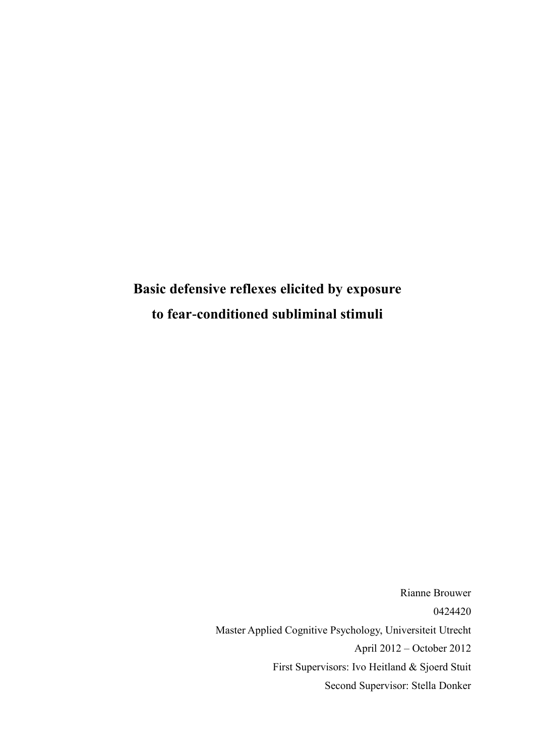# **Basic defensive reflexes elicited by exposure to fear-conditioned subliminal stimuli**

Rianne Brouwer 0424420 Master Applied Cognitive Psychology, Universiteit Utrecht April 2012 – October 2012 First Supervisors: Ivo Heitland & Sjoerd Stuit Second Supervisor: Stella Donker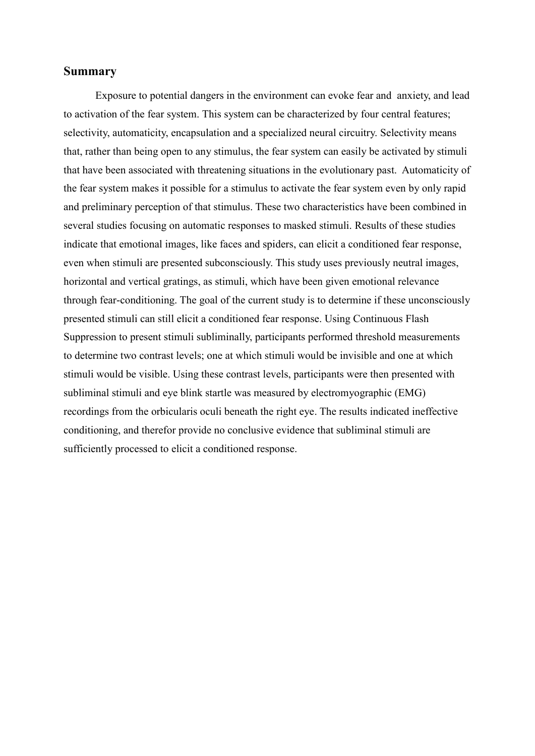# **Summary**

Exposure to potential dangers in the environment can evoke fear and anxiety, and lead to activation of the fear system. This system can be characterized by four central features; selectivity, automaticity, encapsulation and a specialized neural circuitry. Selectivity means that, rather than being open to any stimulus, the fear system can easily be activated by stimuli that have been associated with threatening situations in the evolutionary past. Automaticity of the fear system makes it possible for a stimulus to activate the fear system even by only rapid and preliminary perception of that stimulus. These two characteristics have been combined in several studies focusing on automatic responses to masked stimuli. Results of these studies indicate that emotional images, like faces and spiders, can elicit a conditioned fear response, even when stimuli are presented subconsciously. This study uses previously neutral images, horizontal and vertical gratings, as stimuli, which have been given emotional relevance through fear-conditioning. The goal of the current study is to determine if these unconsciously presented stimuli can still elicit a conditioned fear response. Using Continuous Flash Suppression to present stimuli subliminally, participants performed threshold measurements to determine two contrast levels; one at which stimuli would be invisible and one at which stimuli would be visible. Using these contrast levels, participants were then presented with subliminal stimuli and eye blink startle was measured by electromyographic (EMG) recordings from the orbicularis oculi beneath the right eye. The results indicated ineffective conditioning, and therefor provide no conclusive evidence that subliminal stimuli are sufficiently processed to elicit a conditioned response.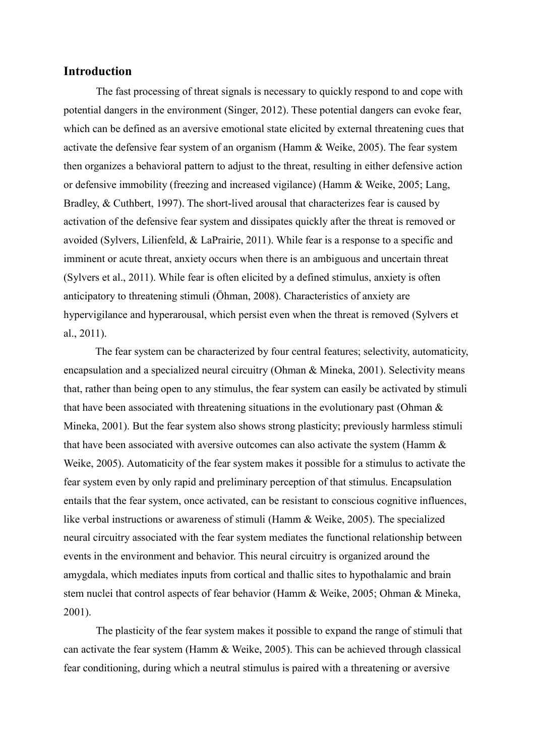## **Introduction**

The fast processing of threat signals is necessary to quickly respond to and cope with potential dangers in the environment (Singer, 2012). These potential dangers can evoke fear, which can be defined as an aversive emotional state elicited by external threatening cues that activate the defensive fear system of an organism [\(Hamm & Weike, 2005\)](#page-29-0). The fear system then organizes a behavioral pattern to adjust to the threat, resulting in either defensive action or defensive immobility (freezing and increased vigilance) [\(Hamm & Weike, 2005;](#page-29-0) [Lang,](#page-30-0)  [Bradley, & Cuthbert, 1997\)](#page-30-0). The short-lived arousal that characterizes fear is caused by activation of the defensive fear system and dissipates quickly after the threat is removed or avoided [\(Sylvers, Lilienfeld, & LaPrairie, 2011\)](#page-31-0). While fear is a response to a specific and imminent or acute threat, anxiety occurs when there is an ambiguous and uncertain threat [\(Sylvers et al., 2011\)](#page-31-0). While fear is often elicited by a defined stimulus, anxiety is often anticipatory to threatening stimuli [\(Öhman, 2008\)](#page-31-1). Characteristics of anxiety are hypervigilance and hyperarousal, which persist even when the threat is removed [\(Sylvers et](#page-31-0)  [al., 2011\)](#page-31-0).

The fear system can be characterized by four central features; selectivity, automaticity, encapsulation and a specialized neural circuitry [\(Ohman & Mineka, 2001\)](#page-31-2). Selectivity means that, rather than being open to any stimulus, the fear system can easily be activated by stimuli that have been associated with threatening situations in the evolutionary past (Ohman  $\&$ [Mineka, 2001\)](#page-31-2). But the fear system also shows strong plasticity; previously harmless stimuli that have been associated with aversive outcomes can also activate the system [\(Hamm &](#page-29-0)  [Weike, 2005\)](#page-29-0). Automaticity of the fear system makes it possible for a stimulus to activate the fear system even by only rapid and preliminary perception of that stimulus. Encapsulation entails that the fear system, once activated, can be resistant to conscious cognitive influences, like verbal instructions or awareness of stimuli [\(Hamm & Weike, 2005\)](#page-29-0). The specialized neural circuitry associated with the fear system mediates the functional relationship between events in the environment and behavior. This neural circuitry is organized around the amygdala, which mediates inputs from cortical and thallic sites to hypothalamic and brain stem nuclei that control aspects of fear behavior [\(Hamm & Weike, 2005;](#page-29-0) [Ohman & Mineka,](#page-31-2)  [2001\)](#page-31-2).

The plasticity of the fear system makes it possible to expand the range of stimuli that can activate the fear system [\(Hamm & Weike, 2005\)](#page-29-0). This can be achieved through classical fear conditioning, during which a neutral stimulus is paired with a threatening or aversive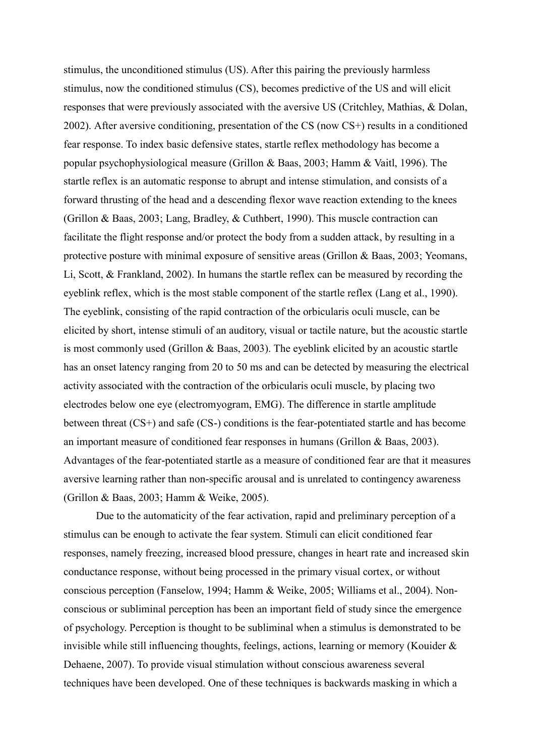stimulus, the unconditioned stimulus (US). After this pairing the previously harmless stimulus, now the conditioned stimulus (CS), becomes predictive of the US and will elicit responses that were previously associated with the aversive US [\(Critchley, Mathias, & Dolan,](#page-29-1)  [2002\)](#page-29-1). After aversive conditioning, presentation of the CS (now CS+) results in a conditioned fear response. To index basic defensive states, startle reflex methodology has become a popular psychophysiological measure [\(Grillon & Baas, 2003;](#page-29-2) [Hamm & Vaitl, 1996\)](#page-29-3). The startle reflex is an automatic response to abrupt and intense stimulation, and consists of a forward thrusting of the head and a descending flexor wave reaction extending to the knees [\(Grillon & Baas, 2003;](#page-29-2) [Lang, Bradley, & Cuthbert, 1990\)](#page-30-1). This muscle contraction can facilitate the flight response and/or protect the body from a sudden attack, by resulting in a protective posture with minimal exposure of sensitive areas [\(Grillon & Baas, 2003;](#page-29-2) [Yeomans,](#page-32-0)  [Li, Scott, & Frankland, 2002\)](#page-32-0). In humans the startle reflex can be measured by recording the eyeblink reflex, which is the most stable component of the startle reflex [\(Lang et al., 1990\)](#page-30-1). The eyeblink, consisting of the rapid contraction of the orbicularis oculi muscle, can be elicited by short, intense stimuli of an auditory, visual or tactile nature, but the acoustic startle is most commonly used [\(Grillon & Baas, 2003\)](#page-29-2). The eyeblink elicited by an acoustic startle has an onset latency ranging from 20 to 50 ms and can be detected by measuring the electrical activity associated with the contraction of the orbicularis oculi muscle, by placing two electrodes below one eye (electromyogram, EMG). The difference in startle amplitude between threat (CS+) and safe (CS-) conditions is the fear-potentiated startle and has become an important measure of conditioned fear responses in humans [\(Grillon & Baas, 2003\)](#page-29-2). Advantages of the fear-potentiated startle as a measure of conditioned fear are that it measures aversive learning rather than non-specific arousal and is unrelated to contingency awareness [\(Grillon & Baas, 2003;](#page-29-2) [Hamm & Weike, 2005\)](#page-29-0).

Due to the automaticity of the fear activation, rapid and preliminary perception of a stimulus can be enough to activate the fear system. Stimuli can elicit conditioned fear responses, namely freezing, increased blood pressure, changes in heart rate and increased skin conductance response, without being processed in the primary visual cortex, or without conscious perception [\(Fanselow, 1994;](#page-29-4) [Hamm & Weike, 2005;](#page-29-0) [Williams et al., 2004\)](#page-31-3). Nonconscious or subliminal perception has been an important field of study since the emergence of psychology. Perception is thought to be subliminal when a stimulus is demonstrated to be invisible while still influencing thoughts, feelings, actions, learning or memory [\(Kouider &](#page-30-2)  [Dehaene, 2007\)](#page-30-2). To provide visual stimulation without conscious awareness several techniques have been developed. One of these techniques is backwards masking in which a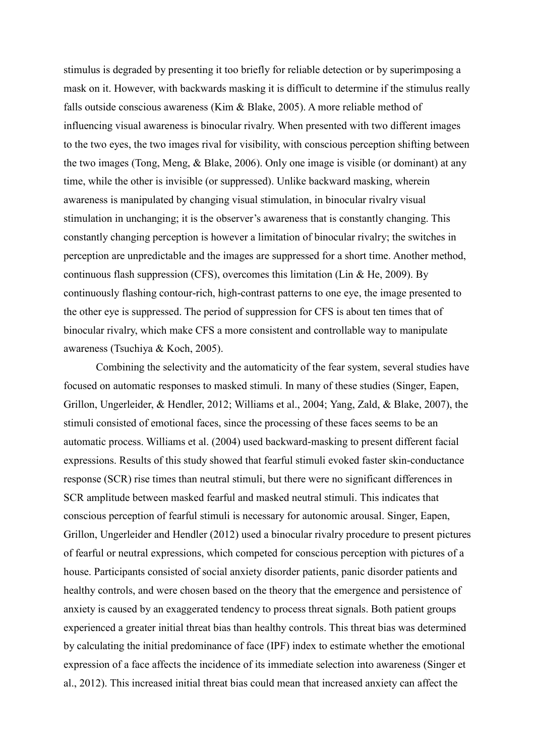stimulus is degraded by presenting it too briefly for reliable detection or by superimposing a mask on it. However, with backwards masking it is difficult to determine if the stimulus really falls outside conscious awareness [\(Kim & Blake, 2005\)](#page-30-3). A more reliable method of influencing visual awareness is binocular rivalry. When presented with two different images to the two eyes, the two images rival for visibility, with conscious perception shifting between the two images [\(Tong, Meng, & Blake, 2006\)](#page-31-4). Only one image is visible (or dominant) at any time, while the other is invisible (or suppressed). Unlike backward masking, wherein awareness is manipulated by changing visual stimulation, in binocular rivalry visual stimulation in unchanging; it is the observer's awareness that is constantly changing. This constantly changing perception is however a limitation of binocular rivalry; the switches in perception are unpredictable and the images are suppressed for a short time. Another method, continuous flash suppression (CFS), overcomes this limitation [\(Lin & He, 2009\)](#page-30-4). By continuously flashing contour-rich, high-contrast patterns to one eye, the image presented to the other eye is suppressed. The period of suppression for CFS is about ten times that of binocular rivalry, which make CFS a more consistent and controllable way to manipulate awareness [\(Tsuchiya & Koch, 2005\)](#page-31-5).

Combining the selectivity and the automaticity of the fear system, several studies have focused on automatic responses to masked stimuli. In many of these studies [\(Singer, Eapen,](#page-31-6)  [Grillon, Ungerleider, & Hendler, 2012;](#page-31-6) [Williams et al., 2004;](#page-31-3) [Yang, Zald, & Blake, 2007\)](#page-32-1), the stimuli consisted of emotional faces, since the processing of these faces seems to be an automatic process. Williams et al. [\(2004\)](#page-31-3) used backward-masking to present different facial expressions. Results of this study showed that fearful stimuli evoked faster skin-conductance response (SCR) rise times than neutral stimuli, but there were no significant differences in SCR amplitude between masked fearful and masked neutral stimuli. This indicates that conscious perception of fearful stimuli is necessary for autonomic arousal. Singer, Eapen, Grillon, Ungerleider and Hendler [\(2012\)](#page-31-6) used a binocular rivalry procedure to present pictures of fearful or neutral expressions, which competed for conscious perception with pictures of a house. Participants consisted of social anxiety disorder patients, panic disorder patients and healthy controls, and were chosen based on the theory that the emergence and persistence of anxiety is caused by an exaggerated tendency to process threat signals. Both patient groups experienced a greater initial threat bias than healthy controls. This threat bias was determined by calculating the initial predominance of face (IPF) index to estimate whether the emotional expression of a face affects the incidence of its immediate selection into awareness [\(Singer et](#page-31-6)  [al., 2012\)](#page-31-6). This increased initial threat bias could mean that increased anxiety can affect the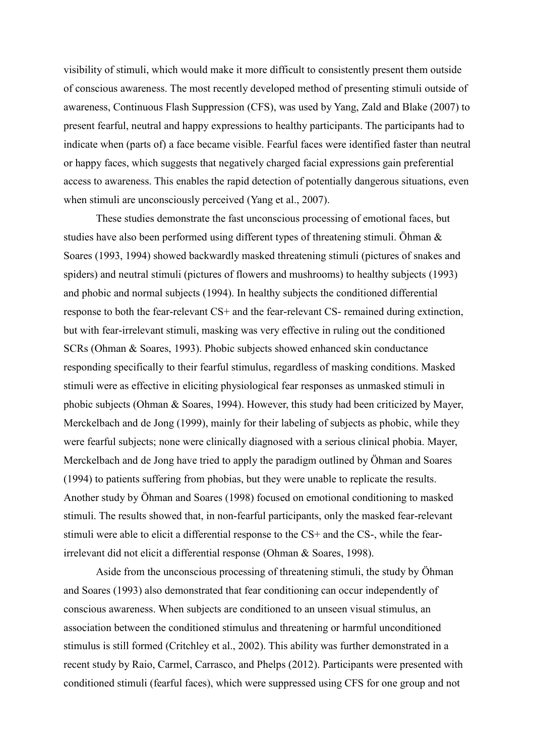visibility of stimuli, which would make it more difficult to consistently present them outside of conscious awareness. The most recently developed method of presenting stimuli outside of awareness, Continuous Flash Suppression (CFS), was used by Yang, Zald and Blake [\(2007\)](#page-32-1) to present fearful, neutral and happy expressions to healthy participants. The participants had to indicate when (parts of) a face became visible. Fearful faces were identified faster than neutral or happy faces, which suggests that negatively charged facial expressions gain preferential access to awareness. This enables the rapid detection of potentially dangerous situations, even when stimuli are unconsciously perceived [\(Yang et al., 2007\)](#page-32-1).

These studies demonstrate the fast unconscious processing of emotional faces, but studies have also been performed using different types of threatening stimuli. Öhman & Soares [\(1993,](#page-31-7) [1994\)](#page-31-8) showed backwardly masked threatening stimuli (pictures of snakes and spiders) and neutral stimuli (pictures of flowers and mushrooms) to healthy subjects [\(1993\)](#page-31-7) and phobic and normal subjects [\(1994\)](#page-31-8). In healthy subjects the conditioned differential response to both the fear-relevant CS+ and the fear-relevant CS- remained during extinction, but with fear-irrelevant stimuli, masking was very effective in ruling out the conditioned SCRs [\(Ohman & Soares, 1993\)](#page-31-7). Phobic subjects showed enhanced skin conductance responding specifically to their fearful stimulus, regardless of masking conditions. Masked stimuli were as effective in eliciting physiological fear responses as unmasked stimuli in phobic subjects [\(Ohman & Soares, 1994\)](#page-31-8). However, this study had been criticized by Mayer, Merckelbach and de Jong (1999), mainly for their labeling of subjects as phobic, while they were fearful subjects; none were clinically diagnosed with a serious clinical phobia. Mayer, Merckelbach and de Jong have tried to apply the paradigm outlined by Öhman and Soares [\(1994\)](#page-31-8) to patients suffering from phobias, but they were unable to replicate the results. Another study by Öhman and Soares [\(1998\)](#page-31-9) focused on emotional conditioning to masked stimuli. The results showed that, in non-fearful participants, only the masked fear-relevant stimuli were able to elicit a differential response to the CS+ and the CS-, while the fearirrelevant did not elicit a differential response [\(Ohman & Soares, 1998\)](#page-31-9).

Aside from the unconscious processing of threatening stimuli, the study by Öhman and Soares [\(1993\)](#page-31-7) also demonstrated that fear conditioning can occur independently of conscious awareness. When subjects are conditioned to an unseen visual stimulus, an association between the conditioned stimulus and threatening or harmful unconditioned stimulus is still formed [\(Critchley et al., 2002\)](#page-29-1). This ability was further demonstrated in a recent study by [Raio, Carmel, Carrasco, and Phelps \(2012\)](#page-31-10). Participants were presented with conditioned stimuli (fearful faces), which were suppressed using CFS for one group and not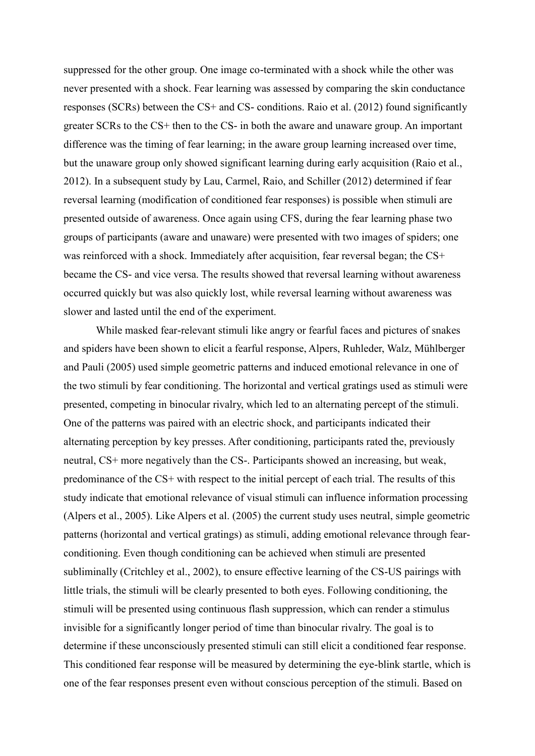suppressed for the other group. One image co-terminated with a shock while the other was never presented with a shock. Fear learning was assessed by comparing the skin conductance responses (SCRs) between the CS+ and CS- conditions. [Raio et al. \(2012\)](#page-31-10) found significantly greater SCRs to the CS+ then to the CS- in both the aware and unaware group. An important difference was the timing of fear learning; in the aware group learning increased over time, but the unaware group only showed significant learning during early acquisition [\(Raio et al.,](#page-31-10)  [2012\)](#page-31-10). In a subsequent study by [Lau, Carmel, Raio, and Schiller \(2012\)](#page-30-5) determined if fear reversal learning (modification of conditioned fear responses) is possible when stimuli are presented outside of awareness. Once again using CFS, during the fear learning phase two groups of participants (aware and unaware) were presented with two images of spiders; one was reinforced with a shock. Immediately after acquisition, fear reversal began; the CS+ became the CS- and vice versa. The results showed that reversal learning without awareness occurred quickly but was also quickly lost, while reversal learning without awareness was slower and lasted until the end of the experiment.

While masked fear-relevant stimuli like angry or fearful faces and pictures of snakes and spiders have been shown to elicit a fearful response, Alpers, Ruhleder, Walz, Mühlberger and Pauli [\(2005\)](#page-29-5) used simple geometric patterns and induced emotional relevance in one of the two stimuli by fear conditioning. The horizontal and vertical gratings used as stimuli were presented, competing in binocular rivalry, which led to an alternating percept of the stimuli. One of the patterns was paired with an electric shock, and participants indicated their alternating perception by key presses. After conditioning, participants rated the, previously neutral, CS+ more negatively than the CS-. Participants showed an increasing, but weak, predominance of the CS+ with respect to the initial percept of each trial. The results of this study indicate that emotional relevance of visual stimuli can influence information processing [\(Alpers et al., 2005\)](#page-29-5). Like Alpers et al. [\(2005\)](#page-29-5) the current study uses neutral, simple geometric patterns (horizontal and vertical gratings) as stimuli, adding emotional relevance through fearconditioning. Even though conditioning can be achieved when stimuli are presented subliminally [\(Critchley et al., 2002\)](#page-29-1), to ensure effective learning of the CS-US pairings with little trials, the stimuli will be clearly presented to both eyes. Following conditioning, the stimuli will be presented using continuous flash suppression, which can render a stimulus invisible for a significantly longer period of time than binocular rivalry. The goal is to determine if these unconsciously presented stimuli can still elicit a conditioned fear response. This conditioned fear response will be measured by determining the eye-blink startle, which is one of the fear responses present even without conscious perception of the stimuli. Based on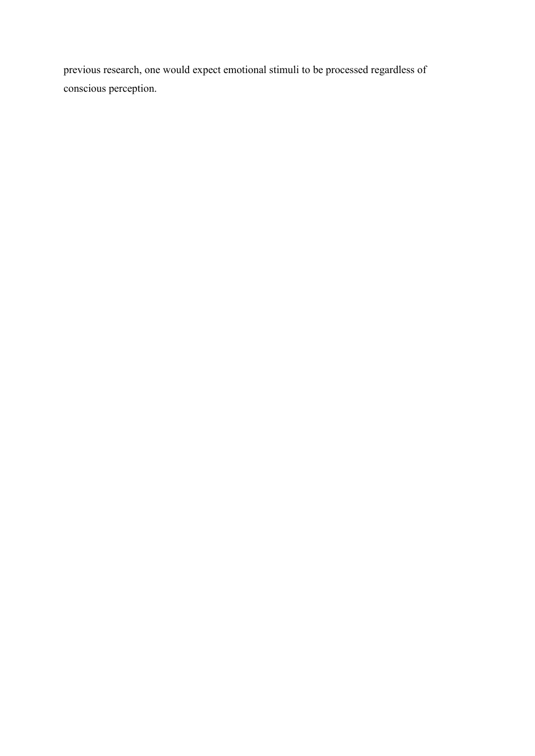previous research, one would expect emotional stimuli to be processed regardless of conscious perception.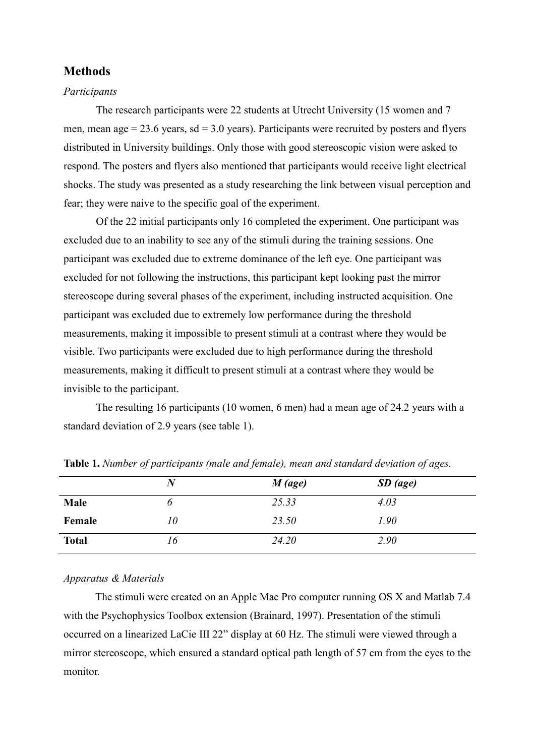# **Methods**

#### *Participants*

The research participants were 22 students at Utrecht University (15 women and 7 men, mean age  $= 23.6$  years, sd  $= 3.0$  years). Participants were recruited by posters and flyers distributed in University buildings. Only those with good stereoscopic vision were asked to respond. The posters and flyers also mentioned that participants would receive light electrical shocks. The study was presented as a study researching the link between visual perception and fear; they were naive to the specific goal of the experiment.

Of the 22 initial participants only 16 completed the experiment. One participant was excluded due to an inability to see any of the stimuli during the training sessions. One participant was excluded due to extreme dominance of the left eye. One participant was excluded for not following the instructions, this participant kept looking past the mirror stereoscope during several phases of the experiment, including instructed acquisition. One participant was excluded due to extremely low performance during the threshold measurements, making it impossible to present stimuli at a contrast where they would be visible. Two participants were excluded due to high performance during the threshold measurements, making it difficult to present stimuli at a contrast where they would be invisible to the participant.

The resulting 16 participants (10 women, 6 men) had a mean age of 24.2 years with a standard deviation of 2.9 years (see table 1).

|              | $\bm{N}$ | $M$ (age) | $SD$ (age) |  |
|--------------|----------|-----------|------------|--|
| Male         | O        | 25.33     | 4.03       |  |
| Female       | 10       | 23.50     | 1.90       |  |
| <b>Total</b> | 16       | 24.20     | 2.90       |  |

**Table 1.** *Number of participants (male and female), mean and standard deviation of ages.*

# *Apparatus & Materials*

The stimuli were created on an Apple Mac Pro computer running OS X and Matlab 7.4 with the Psychophysics Toolbox extension [\(Brainard, 1997\)](#page-29-6). Presentation of the stimuli occurred on a linearized LaCie III 22" display at 60 Hz. The stimuli were viewed through a mirror stereoscope, which ensured a standard optical path length of 57 cm from the eyes to the monitor.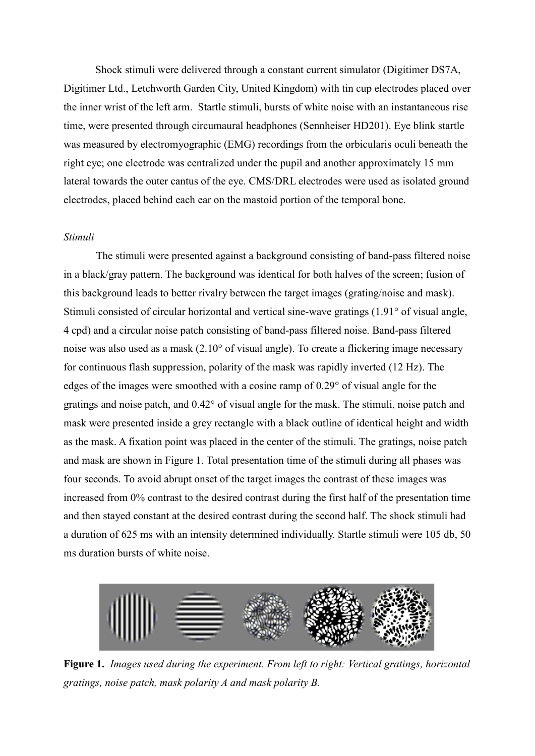Shock stimuli were delivered through a constant current simulator (Digitimer DS7A, Digitimer Ltd., Letchworth Garden City, United Kingdom) with tin cup electrodes placed over the inner wrist of the left arm. Startle stimuli, bursts of white noise with an instantaneous rise time, were presented through circumaural headphones (Sennheiser HD201). Eye blink startle was measured by electromyographic (EMG) recordings from the orbicularis oculi beneath the right eye; one electrode was centralized under the pupil and another approximately 15 mm lateral towards the outer cantus of the eye. CMS/DRL electrodes were used as isolated ground electrodes, placed behind each ear on the mastoid portion of the temporal bone.

#### *Stimuli*

The stimuli were presented against a background consisting of band-pass filtered noise in a black/gray pattern. The background was identical for both halves of the screen; fusion of this background leads to better rivalry between the target images (grating/noise and mask). Stimuli consisted of circular horizontal and vertical sine-wave gratings (1.91° of visual angle, 4 cpd) and a circular noise patch consisting of band-pass filtered noise. Band-pass filtered noise was also used as a mask (2.10° of visual angle). To create a flickering image necessary for continuous flash suppression, polarity of the mask was rapidly inverted (12 Hz). The edges of the images were smoothed with a cosine ramp of 0.29° of visual angle for the gratings and noise patch, and 0.42° of visual angle for the mask. The stimuli, noise patch and mask were presented inside a grey rectangle with a black outline of identical height and width as the mask. A fixation point was placed in the center of the stimuli. The gratings, noise patch and mask are shown in Figure 1. Total presentation time of the stimuli during all phases was four seconds. To avoid abrupt onset of the target images the contrast of these images was increased from 0% contrast to the desired contrast during the first half of the presentation time and then stayed constant at the desired contrast during the second half. The shock stimuli had a duration of 625 ms with an intensity determined individually. Startle stimuli were 105 db, 50 ms duration bursts of white noise.



**Figure 1.** *Images used during the experiment. From left to right: Vertical gratings, horizontal gratings, noise patch, mask polarity A and mask polarity B.*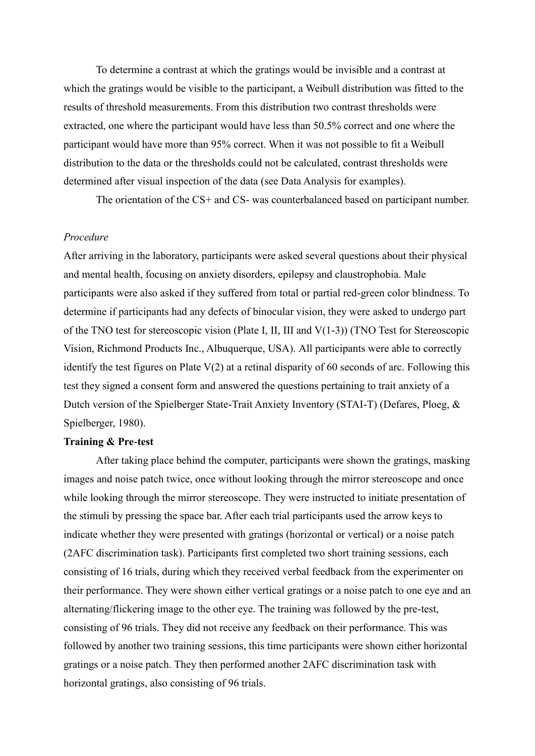To determine a contrast at which the gratings would be invisible and a contrast at which the gratings would be visible to the participant, a Weibull distribution was fitted to the results of threshold measurements. From this distribution two contrast thresholds were extracted, one where the participant would have less than 50.5% correct and one where the participant would have more than 95% correct. When it was not possible to fit a Weibull distribution to the data or the thresholds could not be calculated, contrast thresholds were determined after visual inspection of the data (see Data Analysis for examples).

The orientation of the CS+ and CS- was counterbalanced based on participant number.

# *Procedure*

After arriving in the laboratory, participants were asked several questions about their physical and mental health, focusing on anxiety disorders, epilepsy and claustrophobia. Male participants were also asked if they suffered from total or partial red-green color blindness. To determine if participants had any defects of binocular vision, they were asked to undergo part of the TNO test for stereoscopic vision (Plate I, II, III and V(1-3)) (TNO Test for Stereoscopic Vision, Richmond Products Inc., Albuquerque, USA). All participants were able to correctly identify the test figures on Plate V(2) at a retinal disparity of 60 seconds of arc. Following this test they signed a consent form and answered the questions pertaining to trait anxiety of a Dutch version of the Spielberger State-Trait Anxiety Inventory (STAI-T) [\(Defares, Ploeg, &](#page-29-7)  [Spielberger, 1980\)](#page-29-7).

#### **Training & Pre-test**

After taking place behind the computer, participants were shown the gratings, masking images and noise patch twice, once without looking through the mirror stereoscope and once while looking through the mirror stereoscope. They were instructed to initiate presentation of the stimuli by pressing the space bar. After each trial participants used the arrow keys to indicate whether they were presented with gratings (horizontal or vertical) or a noise patch (2AFC discrimination task). Participants first completed two short training sessions, each consisting of 16 trials, during which they received verbal feedback from the experimenter on their performance. They were shown either vertical gratings or a noise patch to one eye and an alternating/flickering image to the other eye. The training was followed by the pre-test, consisting of 96 trials. They did not receive any feedback on their performance. This was followed by another two training sessions, this time participants were shown either horizontal gratings or a noise patch. They then performed another 2AFC discrimination task with horizontal gratings, also consisting of 96 trials.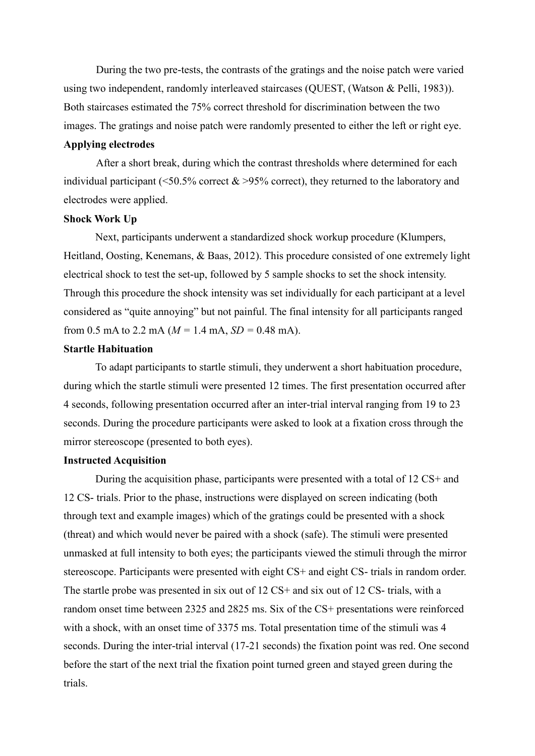During the two pre-tests, the contrasts of the gratings and the noise patch were varied using two independent, randomly interleaved staircases (QUEST, [\(Watson & Pelli, 1983\)](#page-31-11)). Both staircases estimated the 75% correct threshold for discrimination between the two images. The gratings and noise patch were randomly presented to either the left or right eye.

#### **Applying electrodes**

After a short break, during which the contrast thresholds where determined for each individual participant ( $\leq 50.5\%$  correct &  $\geq 95\%$  correct), they returned to the laboratory and electrodes were applied.

#### **Shock Work Up**

Next, participants underwent a standardized shock workup procedure [\(Klumpers,](#page-30-6)  [Heitland, Oosting, Kenemans, & Baas, 2012\)](#page-30-6). This procedure consisted of one extremely light electrical shock to test the set-up, followed by 5 sample shocks to set the shock intensity. Through this procedure the shock intensity was set individually for each participant at a level considered as "quite annoying" but not painful. The final intensity for all participants ranged from 0.5 mA to 2.2 mA ( $M = 1.4$  mA,  $SD = 0.48$  mA).

# **Startle Habituation**

To adapt participants to startle stimuli, they underwent a short habituation procedure, during which the startle stimuli were presented 12 times. The first presentation occurred after 4 seconds, following presentation occurred after an inter-trial interval ranging from 19 to 23 seconds. During the procedure participants were asked to look at a fixation cross through the mirror stereoscope (presented to both eyes).

#### **Instructed Acquisition**

During the acquisition phase, participants were presented with a total of 12 CS+ and 12 CS- trials. Prior to the phase, instructions were displayed on screen indicating (both through text and example images) which of the gratings could be presented with a shock (threat) and which would never be paired with a shock (safe). The stimuli were presented unmasked at full intensity to both eyes; the participants viewed the stimuli through the mirror stereoscope. Participants were presented with eight CS+ and eight CS- trials in random order. The startle probe was presented in six out of 12 CS+ and six out of 12 CS- trials, with a random onset time between 2325 and 2825 ms. Six of the CS+ presentations were reinforced with a shock, with an onset time of 3375 ms. Total presentation time of the stimuli was 4 seconds. During the inter-trial interval (17-21 seconds) the fixation point was red. One second before the start of the next trial the fixation point turned green and stayed green during the trials.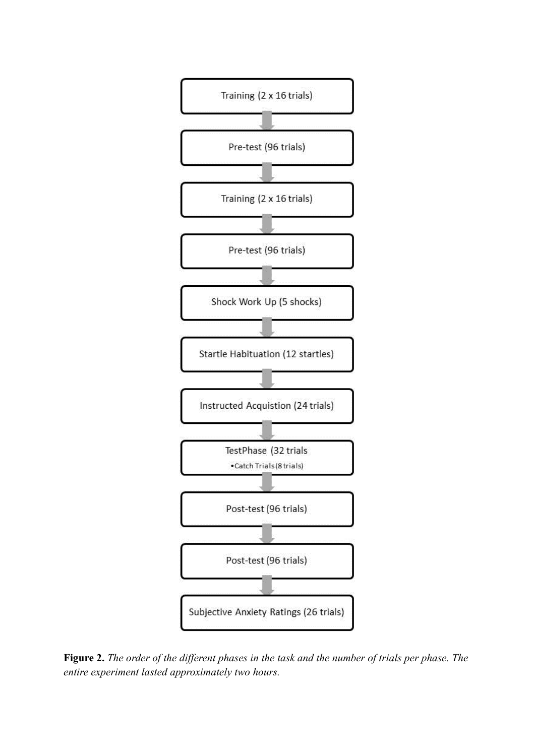

**Figure 2.** *The order of the different phases in the task and the number of trials per phase. The entire experiment lasted approximately two hours.*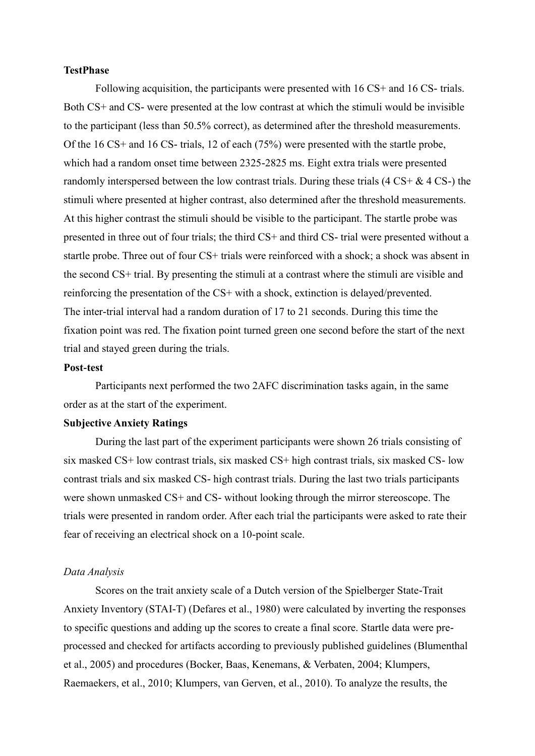## **TestPhase**

Following acquisition, the participants were presented with 16 CS+ and 16 CS- trials. Both CS+ and CS- were presented at the low contrast at which the stimuli would be invisible to the participant (less than 50.5% correct), as determined after the threshold measurements. Of the 16 CS+ and 16 CS- trials, 12 of each (75%) were presented with the startle probe, which had a random onset time between 2325-2825 ms. Eight extra trials were presented randomly interspersed between the low contrast trials. During these trials  $(4 \text{ CS} + \& 4 \text{ CS} - )$  the stimuli where presented at higher contrast, also determined after the threshold measurements. At this higher contrast the stimuli should be visible to the participant. The startle probe was presented in three out of four trials; the third CS+ and third CS- trial were presented without a startle probe. Three out of four CS+ trials were reinforced with a shock; a shock was absent in the second CS+ trial. By presenting the stimuli at a contrast where the stimuli are visible and reinforcing the presentation of the CS+ with a shock, extinction is delayed/prevented. The inter-trial interval had a random duration of 17 to 21 seconds. During this time the fixation point was red. The fixation point turned green one second before the start of the next trial and stayed green during the trials.

#### **Post-test**

Participants next performed the two 2AFC discrimination tasks again, in the same order as at the start of the experiment.

#### **Subjective Anxiety Ratings**

During the last part of the experiment participants were shown 26 trials consisting of six masked CS+ low contrast trials, six masked CS+ high contrast trials, six masked CS- low contrast trials and six masked CS- high contrast trials. During the last two trials participants were shown unmasked CS+ and CS- without looking through the mirror stereoscope. The trials were presented in random order. After each trial the participants were asked to rate their fear of receiving an electrical shock on a 10-point scale.

#### *Data Analysis*

Scores on the trait anxiety scale of a Dutch version of the Spielberger State-Trait Anxiety Inventory (STAI-T) [\(Defares et al., 1980\)](#page-29-7) were calculated by inverting the responses to specific questions and adding up the scores to create a final score. Startle data were preprocessed and checked for artifacts according to previously published guidelines [\(Blumenthal](#page-29-8)  [et al., 2005\)](#page-29-8) and procedures [\(Bocker, Baas, Kenemans, & Verbaten, 2004;](#page-29-9) [Klumpers,](#page-30-7)  [Raemaekers, et al., 2010;](#page-30-7) [Klumpers, van Gerven,](#page-30-8) et al., 2010). To analyze the results, the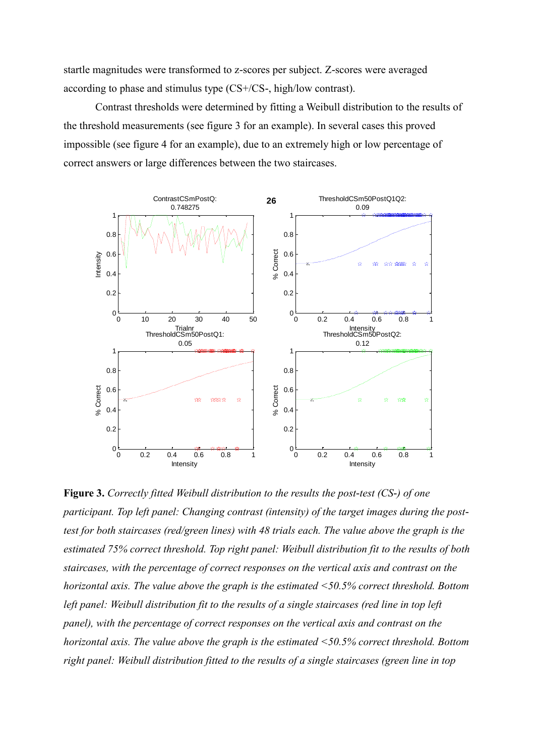startle magnitudes were transformed to z-scores per subject. Z-scores were averaged according to phase and stimulus type (CS+/CS-, high/low contrast).

Contrast thresholds were determined by fitting a Weibull distribution to the results of the threshold measurements (see figure 3 for an example). In several cases this proved impossible (see figure 4 for an example), due to an extremely high or low percentage of correct answers or large differences between the two staircases.



**Figure 3.** *Correctly fitted Weibull distribution to the results the post-test (CS-) of one participant. Top left panel: Changing contrast (intensity) of the target images during the posttest for both staircases (red/green lines) with 48 trials each. The value above the graph is the estimated 75% correct threshold. Top right panel: Weibull distribution fit to the results of both staircases, with the percentage of correct responses on the vertical axis and contrast on the horizontal axis. The value above the graph is the estimated <50.5% correct threshold. Bottom left panel: Weibull distribution fit to the results of a single staircases (red line in top left panel), with the percentage of correct responses on the vertical axis and contrast on the horizontal axis. The value above the graph is the estimated <50.5% correct threshold. Bottom right panel: Weibull distribution fitted to the results of a single staircases (green line in top*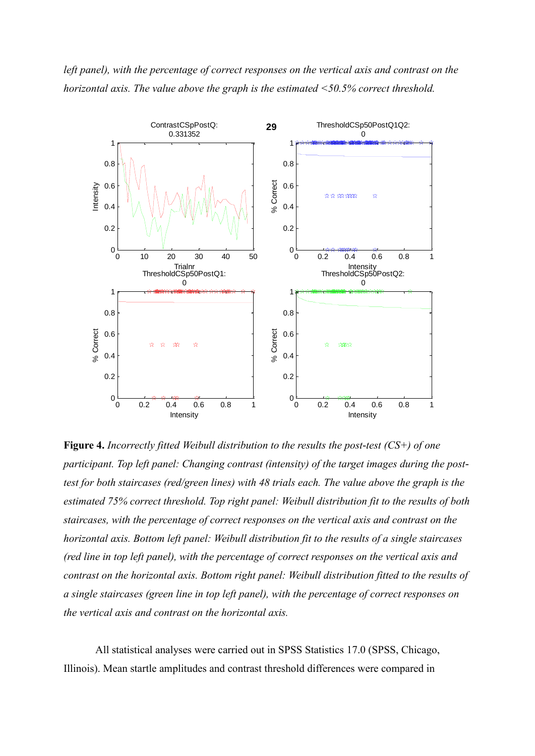



**Figure 4.** *Incorrectly fitted Weibull distribution to the results the post-test (CS+) of one participant. Top left panel: Changing contrast (intensity) of the target images during the posttest for both staircases (red/green lines) with 48 trials each. The value above the graph is the estimated 75% correct threshold. Top right panel: Weibull distribution fit to the results of both staircases, with the percentage of correct responses on the vertical axis and contrast on the horizontal axis. Bottom left panel: Weibull distribution fit to the results of a single staircases (red line in top left panel), with the percentage of correct responses on the vertical axis and contrast on the horizontal axis. Bottom right panel: Weibull distribution fitted to the results of a single staircases (green line in top left panel), with the percentage of correct responses on the vertical axis and contrast on the horizontal axis.* 

All statistical analyses were carried out in SPSS Statistics 17.0 (SPSS, Chicago, Illinois). Mean startle amplitudes and contrast threshold differences were compared in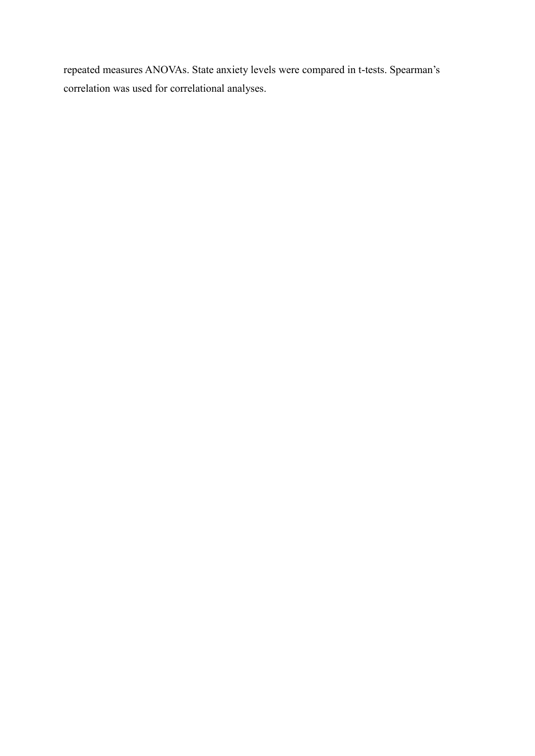repeated measures ANOVAs. State anxiety levels were compared in t-tests. Spearman's correlation was used for correlational analyses.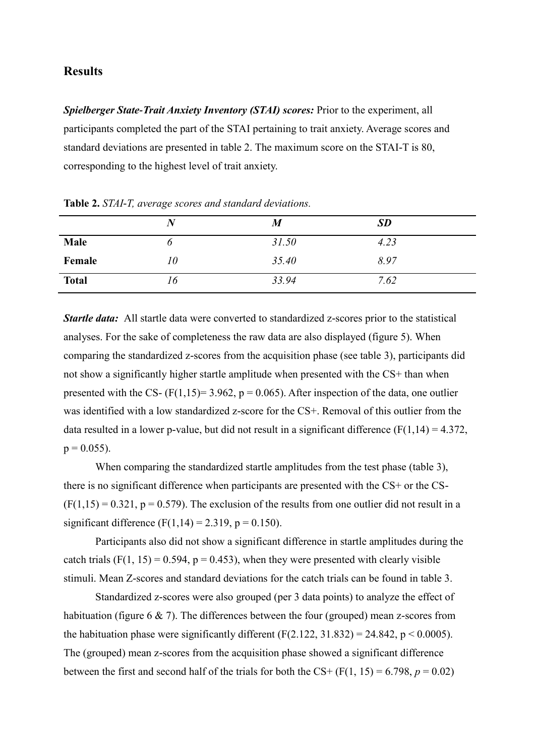# **Results**

*Spielberger State-Trait Anxiety Inventory (STAI) scores: Prior to the experiment, all* participants completed the part of the STAI pertaining to trait anxiety. Average scores and standard deviations are presented in table 2. The maximum score on the STAI-T is 80, corresponding to the highest level of trait anxiety.

|              |    | $\boldsymbol{M}$ | <b>SD</b> |
|--------------|----|------------------|-----------|
| Male         |    | 31.50            | 4.23      |
| Female       | 10 | 35.40            | 8.97      |
| <b>Total</b> | 16 | 33.94            | 7.62      |

**Table 2.** *STAI-T, average scores and standard deviations.* 

*Startle data:* All startle data were converted to standardized z-scores prior to the statistical analyses. For the sake of completeness the raw data are also displayed (figure 5). When comparing the standardized z-scores from the acquisition phase (see table 3), participants did not show a significantly higher startle amplitude when presented with the CS+ than when presented with the CS-  $(F(1,15)=3.962, p=0.065)$ . After inspection of the data, one outlier was identified with a low standardized z-score for the CS+. Removal of this outlier from the data resulted in a lower p-value, but did not result in a significant difference  $(F(1,14) = 4.372)$ ,  $p = 0.055$ ).

When comparing the standardized startle amplitudes from the test phase (table 3), there is no significant difference when participants are presented with the CS+ or the CS-  $(F(1,15) = 0.321, p = 0.579)$ . The exclusion of the results from one outlier did not result in a significant difference  $(F(1,14) = 2.319, p = 0.150)$ .

Participants also did not show a significant difference in startle amplitudes during the catch trials (F(1, 15) = 0.594,  $p = 0.453$ ), when they were presented with clearly visible stimuli. Mean Z-scores and standard deviations for the catch trials can be found in table 3.

Standardized z-scores were also grouped (per 3 data points) to analyze the effect of habituation (figure 6 & 7). The differences between the four (grouped) mean z-scores from the habituation phase were significantly different  $(F(2.122, 31.832) = 24.842, p \le 0.0005)$ . The (grouped) mean z-scores from the acquisition phase showed a significant difference between the first and second half of the trials for both the CS+  $(F(1, 15) = 6.798, p = 0.02)$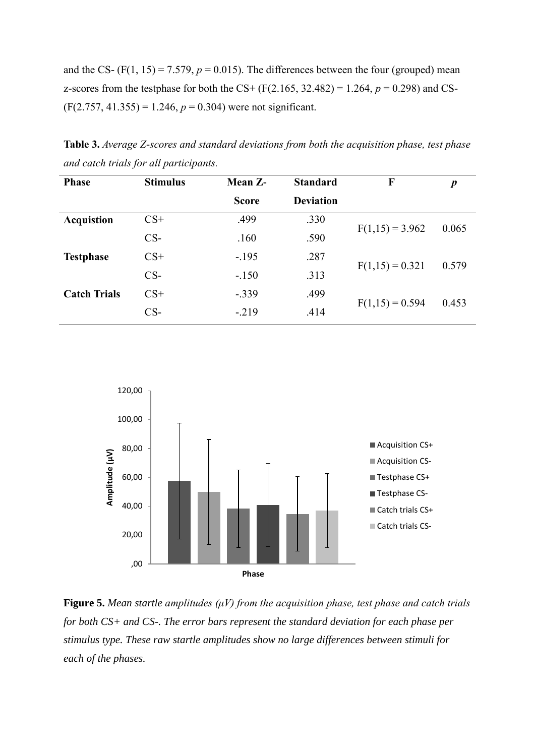and the CS-  $(F(1, 15) = 7.579, p = 0.015)$ . The differences between the four (grouped) mean z-scores from the testphase for both the CS+ (F(2.165, 32.482) = 1.264,  $p = 0.298$ ) and CS- $(F(2.757, 41.355) = 1.246, p = 0.304)$  were not significant.

**Table 3.** *Average Z-scores and standard deviations from both the acquisition phase, test phase and catch trials for all participants.*

| <b>Phase</b>        | <b>Stimulus</b> | Mean Z-      | <b>Standard</b>  | $\mathbf F$       | $\boldsymbol{p}$ |
|---------------------|-----------------|--------------|------------------|-------------------|------------------|
|                     |                 | <b>Score</b> | <b>Deviation</b> |                   |                  |
| <b>Acquistion</b>   | $CS+$           | .499         | .330             | $F(1,15) = 3.962$ | 0.065            |
|                     | $CS-$           | .160         | .590             |                   |                  |
| <b>Testphase</b>    | $CS+$           | $-.195$      | .287             |                   | 0.579            |
|                     | $CS-$           | $-.150$      | .313             | $F(1,15) = 0.321$ |                  |
| <b>Catch Trials</b> | $CS+$           | $-.339$      | .499             |                   |                  |
|                     | $CS-$           | $-.219$      | .414             | $F(1,15) = 0.594$ | 0.453            |



**Figure 5.** *Mean startle amplitudes (μV) from the acquisition phase, test phase and catch trials for both CS+ and CS-. The error bars represent the standard deviation for each phase per stimulus type. These raw startle amplitudes show no large differences between stimuli for each of the phases.*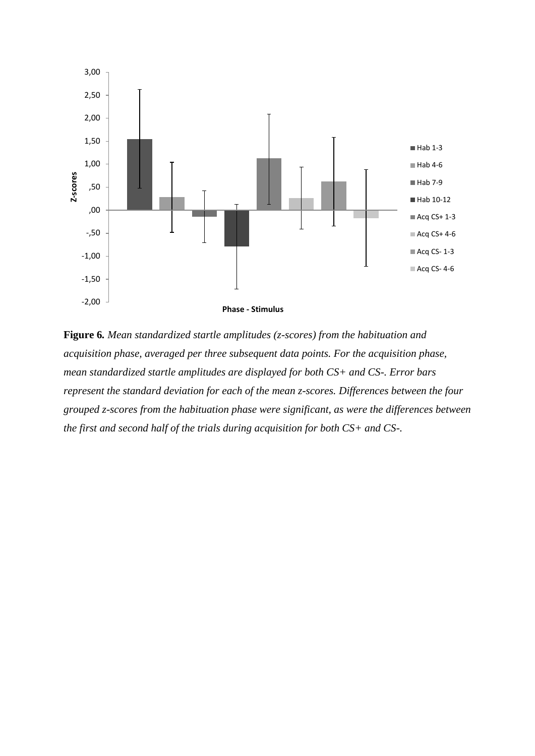

**Figure 6***. Mean standardized startle amplitudes (z-scores) from the habituation and acquisition phase, averaged per three subsequent data points. For the acquisition phase, mean standardized startle amplitudes are displayed for both CS+ and CS-. Error bars represent the standard deviation for each of the mean z-scores. Differences between the four grouped z-scores from the habituation phase were significant, as were the differences between the first and second half of the trials during acquisition for both CS+ and CS-.*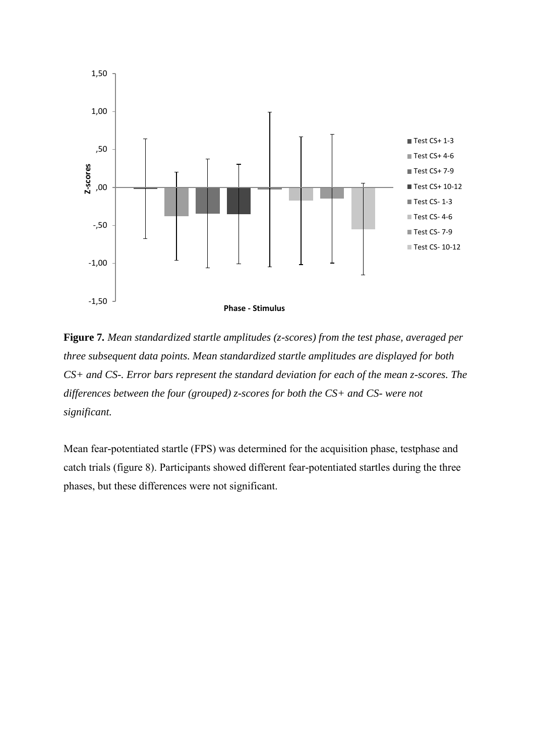

**Figure 7***. Mean standardized startle amplitudes (z-scores) from the test phase, averaged per three subsequent data points. Mean standardized startle amplitudes are displayed for both CS+ and CS-. Error bars represent the standard deviation for each of the mean z-scores. The differences between the four (grouped) z-scores for both the CS+ and CS- were not significant.*

Mean fear-potentiated startle (FPS) was determined for the acquisition phase, testphase and catch trials (figure 8). Participants showed different fear-potentiated startles during the three phases, but these differences were not significant.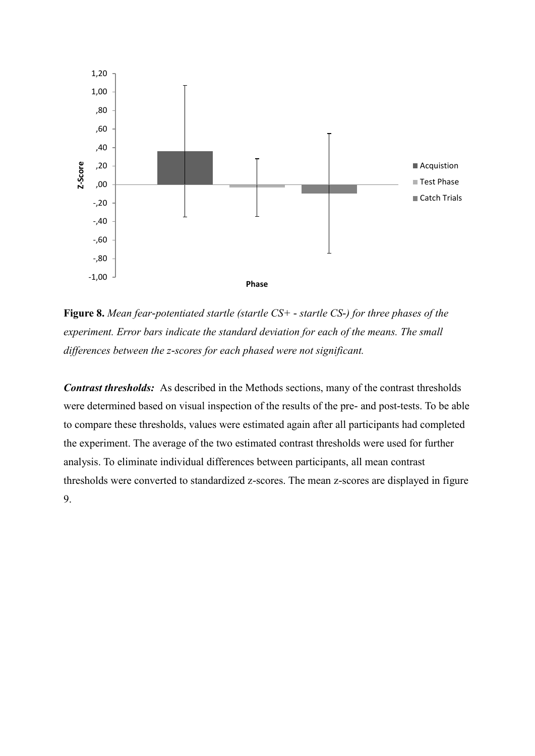

**Figure 8.** *Mean fear-potentiated startle (startle CS+ - startle CS-) for three phases of the experiment. Error bars indicate the standard deviation for each of the means. The small differences between the z-scores for each phased were not significant.*

*Contrast thresholds:* As described in the Methods sections, many of the contrast thresholds were determined based on visual inspection of the results of the pre- and post-tests. To be able to compare these thresholds, values were estimated again after all participants had completed the experiment. The average of the two estimated contrast thresholds were used for further analysis. To eliminate individual differences between participants, all mean contrast thresholds were converted to standardized z-scores. The mean z-scores are displayed in figure 9.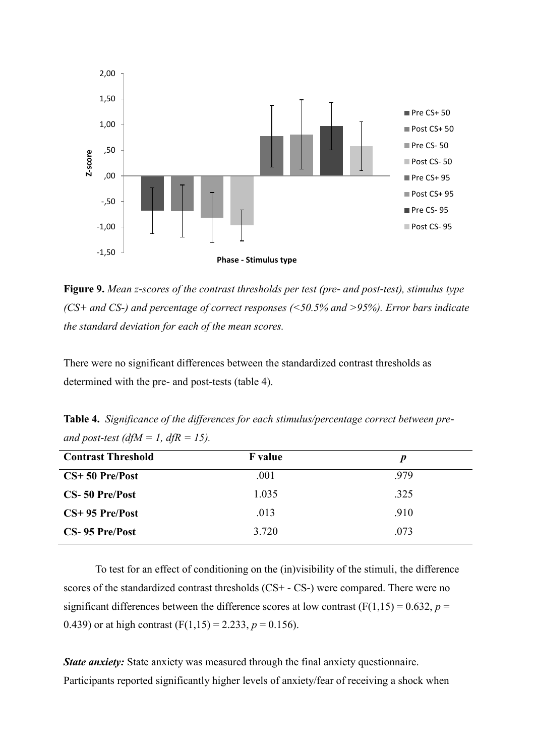

**Figure 9.** *Mean z-scores of the contrast thresholds per test (pre- and post-test), stimulus type (CS+ and CS-) and percentage of correct responses (<50.5% and >95%). Error bars indicate the standard deviation for each of the mean scores.* 

There were no significant differences between the standardized contrast thresholds as determined with the pre- and post-tests (table 4).

**Table 4.** *Significance of the differences for each stimulus/percentage correct between preand post-test (dfM = 1, dfR = 15).* 

| <b>Contrast Threshold</b> | <b>F</b> value | $\boldsymbol{p}$ |
|---------------------------|----------------|------------------|
| $CS+50$ Pre/Post          | .001           | .979             |
| CS-50 Pre/Post            | 1.035          | .325             |
| $CS+95$ Pre/Post          | .013           | .910             |
| CS-95 Pre/Post            | 3.720          | .073             |

To test for an effect of conditioning on the (in)visibility of the stimuli, the difference scores of the standardized contrast thresholds (CS+ - CS-) were compared. There were no significant differences between the difference scores at low contrast  $(F(1,15) = 0.632, p =$ 0.439) or at high contrast  $(F(1,15) = 2.233, p = 0.156)$ .

*State anxiety:* State anxiety was measured through the final anxiety questionnaire. Participants reported significantly higher levels of anxiety/fear of receiving a shock when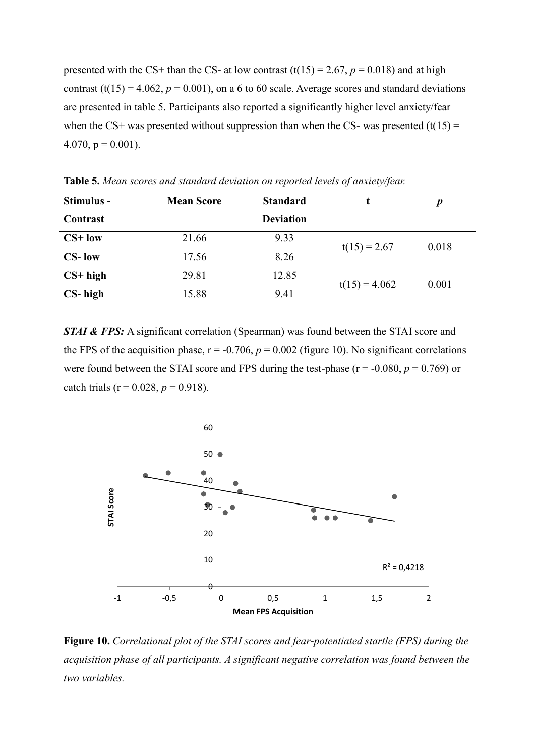presented with the CS+ than the CS- at low contrast  $(t(15) = 2.67, p = 0.018)$  and at high contrast (t(15) = 4.062,  $p = 0.001$ ), on a 6 to 60 scale. Average scores and standard deviations are presented in table 5. Participants also reported a significantly higher level anxiety/fear when the CS+ was presented without suppression than when the CS- was presented  $(t(15) =$ 4.070,  $p = 0.001$ ).

| Stimulus -    | <b>Mean Score</b> | <b>Standard</b>  |                 | p     |
|---------------|-------------------|------------------|-----------------|-------|
| Contrast      |                   | <b>Deviation</b> |                 |       |
| $CS+$ low     | 21.66             | 9.33             | $t(15) = 2.67$  | 0.018 |
| <b>CS-low</b> | 17.56             | 8.26             |                 |       |
| $CS+high$     | 29.81             | 12.85            |                 |       |
| CS-high       | 15.88             | 9.41             | $t(15) = 4.062$ | 0.001 |

**Table 5.** *Mean scores and standard deviation on reported levels of anxiety/fear.*

*STAI & FPS:* A significant correlation (Spearman) was found between the STAI score and the FPS of the acquisition phase,  $r = -0.706$ ,  $p = 0.002$  (figure 10). No significant correlations were found between the STAI score and FPS during the test-phase ( $r = -0.080$ ,  $p = 0.769$ ) or catch trials ( $r = 0.028$ ,  $p = 0.918$ ).



**Figure 10.** *Correlational plot of the STAI scores and fear-potentiated startle (FPS) during the acquisition phase of all participants. A significant negative correlation was found between the two variables.*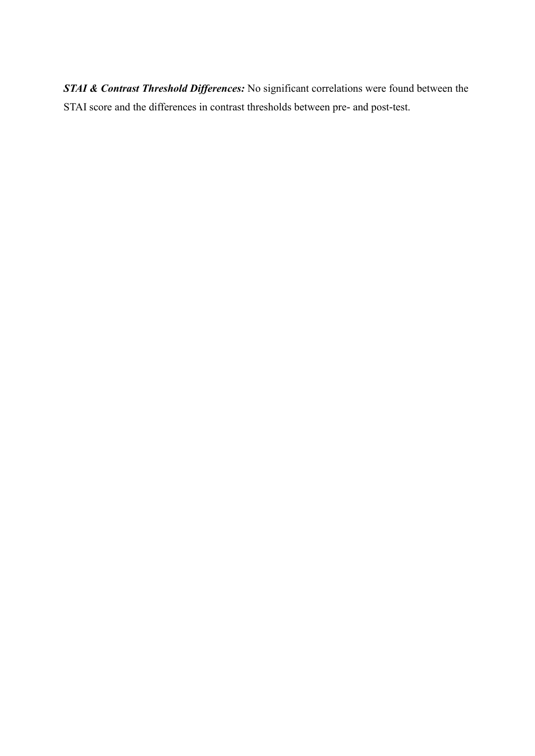*STAI & Contrast Threshold Differences:* No significant correlations were found between the STAI score and the differences in contrast thresholds between pre- and post-test.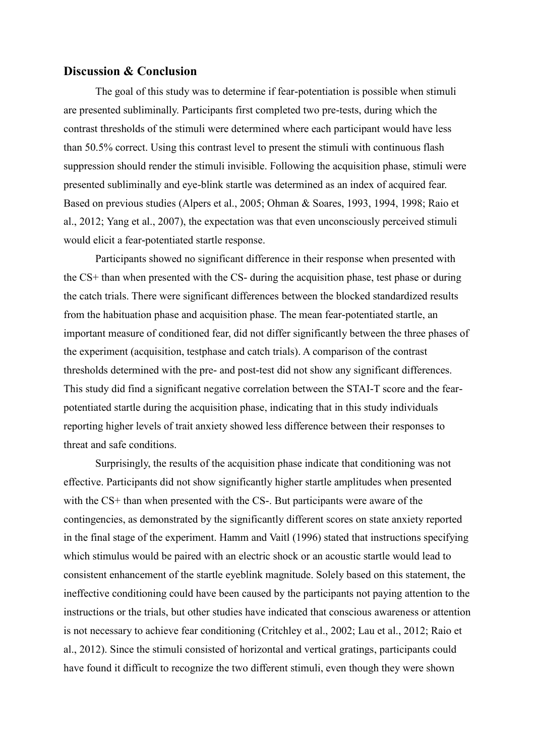#### **Discussion & Conclusion**

The goal of this study was to determine if fear-potentiation is possible when stimuli are presented subliminally. Participants first completed two pre-tests, during which the contrast thresholds of the stimuli were determined where each participant would have less than 50.5% correct. Using this contrast level to present the stimuli with continuous flash suppression should render the stimuli invisible. Following the acquisition phase, stimuli were presented subliminally and eye-blink startle was determined as an index of acquired fear. Based on previous studies [\(Alpers et al., 2005;](#page-29-5) [Ohman & Soares, 1993,](#page-31-7) [1994,](#page-31-8) [1998;](#page-31-9) [Raio et](#page-31-10)  [al., 2012;](#page-31-10) [Yang et al., 2007\)](#page-32-1), the expectation was that even unconsciously perceived stimuli would elicit a fear-potentiated startle response.

Participants showed no significant difference in their response when presented with the CS+ than when presented with the CS- during the acquisition phase, test phase or during the catch trials. There were significant differences between the blocked standardized results from the habituation phase and acquisition phase. The mean fear-potentiated startle, an important measure of conditioned fear, did not differ significantly between the three phases of the experiment (acquisition, testphase and catch trials). A comparison of the contrast thresholds determined with the pre- and post-test did not show any significant differences. This study did find a significant negative correlation between the STAI-T score and the fearpotentiated startle during the acquisition phase, indicating that in this study individuals reporting higher levels of trait anxiety showed less difference between their responses to threat and safe conditions.

Surprisingly, the results of the acquisition phase indicate that conditioning was not effective. Participants did not show significantly higher startle amplitudes when presented with the CS+ than when presented with the CS-. But participants were aware of the contingencies, as demonstrated by the significantly different scores on state anxiety reported in the final stage of the experiment. Hamm and Vaitl [\(1996\)](#page-29-3) stated that instructions specifying which stimulus would be paired with an electric shock or an acoustic startle would lead to consistent enhancement of the startle eyeblink magnitude. Solely based on this statement, the ineffective conditioning could have been caused by the participants not paying attention to the instructions or the trials, but other studies have indicated that conscious awareness or attention is not necessary to achieve fear conditioning [\(Critchley et al., 2002;](#page-29-1) [Lau et al., 2012;](#page-30-5) [Raio et](#page-31-10)  [al., 2012\)](#page-31-10). Since the stimuli consisted of horizontal and vertical gratings, participants could have found it difficult to recognize the two different stimuli, even though they were shown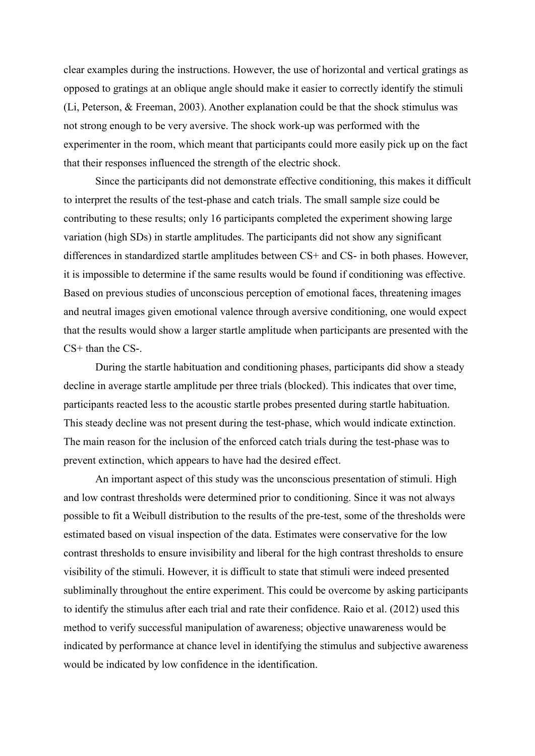clear examples during the instructions. However, the use of horizontal and vertical gratings as opposed to gratings at an oblique angle should make it easier to correctly identify the stimuli [\(Li, Peterson, & Freeman, 2003\)](#page-30-9). Another explanation could be that the shock stimulus was not strong enough to be very aversive. The shock work-up was performed with the experimenter in the room, which meant that participants could more easily pick up on the fact that their responses influenced the strength of the electric shock.

Since the participants did not demonstrate effective conditioning, this makes it difficult to interpret the results of the test-phase and catch trials. The small sample size could be contributing to these results; only 16 participants completed the experiment showing large variation (high SDs) in startle amplitudes. The participants did not show any significant differences in standardized startle amplitudes between CS+ and CS- in both phases. However, it is impossible to determine if the same results would be found if conditioning was effective. Based on previous studies of unconscious perception of emotional faces, threatening images and neutral images given emotional valence through aversive conditioning, one would expect that the results would show a larger startle amplitude when participants are presented with the CS<sup>+</sup> than the CS-

During the startle habituation and conditioning phases, participants did show a steady decline in average startle amplitude per three trials (blocked). This indicates that over time, participants reacted less to the acoustic startle probes presented during startle habituation. This steady decline was not present during the test-phase, which would indicate extinction. The main reason for the inclusion of the enforced catch trials during the test-phase was to prevent extinction, which appears to have had the desired effect.

An important aspect of this study was the unconscious presentation of stimuli. High and low contrast thresholds were determined prior to conditioning. Since it was not always possible to fit a Weibull distribution to the results of the pre-test, some of the thresholds were estimated based on visual inspection of the data. Estimates were conservative for the low contrast thresholds to ensure invisibility and liberal for the high contrast thresholds to ensure visibility of the stimuli. However, it is difficult to state that stimuli were indeed presented subliminally throughout the entire experiment. This could be overcome by asking participants to identify the stimulus after each trial and rate their confidence. [Raio et al. \(2012\)](#page-31-10) used this method to verify successful manipulation of awareness; objective unawareness would be indicated by performance at chance level in identifying the stimulus and subjective awareness would be indicated by low confidence in the identification.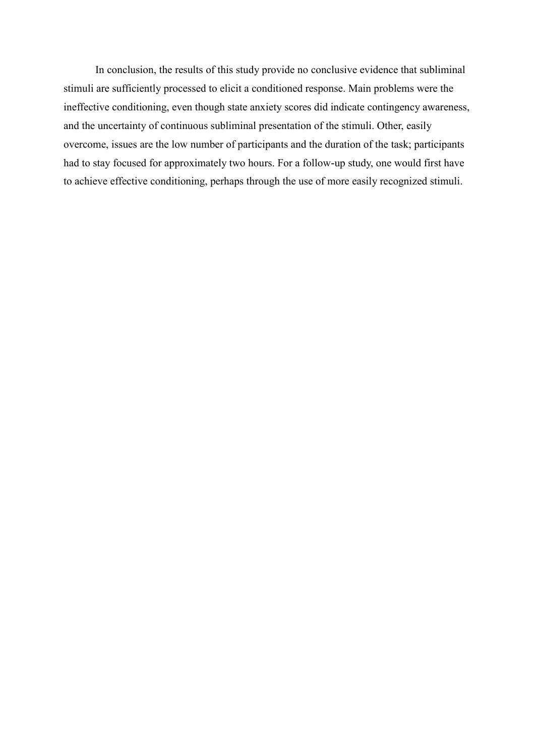In conclusion, the results of this study provide no conclusive evidence that subliminal stimuli are sufficiently processed to elicit a conditioned response. Main problems were the ineffective conditioning, even though state anxiety scores did indicate contingency awareness, and the uncertainty of continuous subliminal presentation of the stimuli. Other, easily overcome, issues are the low number of participants and the duration of the task; participants had to stay focused for approximately two hours. For a follow-up study, one would first have to achieve effective conditioning, perhaps through the use of more easily recognized stimuli.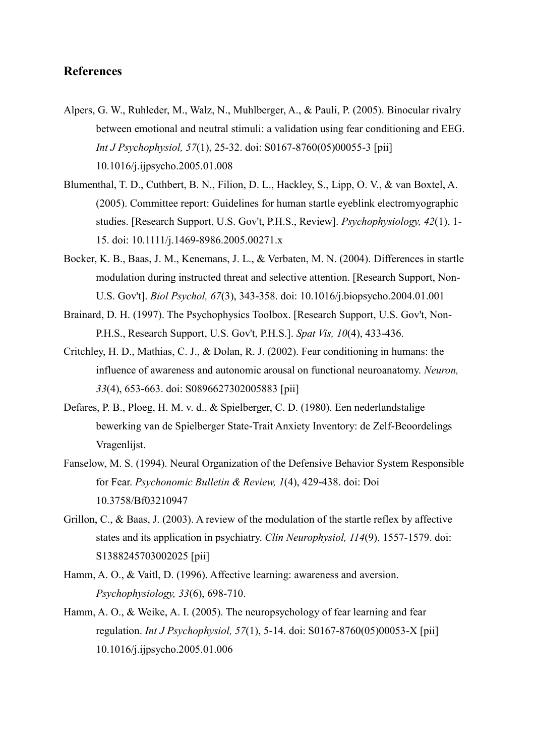# **References**

- <span id="page-29-5"></span>Alpers, G. W., Ruhleder, M., Walz, N., Muhlberger, A., & Pauli, P. (2005). Binocular rivalry between emotional and neutral stimuli: a validation using fear conditioning and EEG. *Int J Psychophysiol, 57*(1), 25-32. doi: S0167-8760(05)00055-3 [pii] 10.1016/j.ijpsycho.2005.01.008
- <span id="page-29-8"></span>Blumenthal, T. D., Cuthbert, B. N., Filion, D. L., Hackley, S., Lipp, O. V., & van Boxtel, A. (2005). Committee report: Guidelines for human startle eyeblink electromyographic studies. [Research Support, U.S. Gov't, P.H.S., Review]. *Psychophysiology, 42*(1), 1- 15. doi: 10.1111/j.1469-8986.2005.00271.x
- <span id="page-29-9"></span>Bocker, K. B., Baas, J. M., Kenemans, J. L., & Verbaten, M. N. (2004). Differences in startle modulation during instructed threat and selective attention. [Research Support, Non-U.S. Gov't]. *Biol Psychol, 67*(3), 343-358. doi: 10.1016/j.biopsycho.2004.01.001
- <span id="page-29-6"></span>Brainard, D. H. (1997). The Psychophysics Toolbox. [Research Support, U.S. Gov't, Non-P.H.S., Research Support, U.S. Gov't, P.H.S.]. *Spat Vis, 10*(4), 433-436.
- <span id="page-29-1"></span>Critchley, H. D., Mathias, C. J., & Dolan, R. J. (2002). Fear conditioning in humans: the influence of awareness and autonomic arousal on functional neuroanatomy. *Neuron, 33*(4), 653-663. doi: S0896627302005883 [pii]
- <span id="page-29-7"></span>Defares, P. B., Ploeg, H. M. v. d., & Spielberger, C. D. (1980). Een nederlandstalige bewerking van de Spielberger State-Trait Anxiety Inventory: de Zelf-Beoordelings Vragenlijst.
- <span id="page-29-4"></span>Fanselow, M. S. (1994). Neural Organization of the Defensive Behavior System Responsible for Fear. *Psychonomic Bulletin & Review, 1*(4), 429-438. doi: Doi 10.3758/Bf03210947
- <span id="page-29-2"></span>Grillon, C., & Baas, J. (2003). A review of the modulation of the startle reflex by affective states and its application in psychiatry. *Clin Neurophysiol, 114*(9), 1557-1579. doi: S1388245703002025 [pii]
- <span id="page-29-3"></span>Hamm, A. O., & Vaitl, D. (1996). Affective learning: awareness and aversion. *Psychophysiology, 33*(6), 698-710.
- <span id="page-29-0"></span>Hamm, A. O., & Weike, A. I. (2005). The neuropsychology of fear learning and fear regulation. *Int J Psychophysiol, 57*(1), 5-14. doi: S0167-8760(05)00053-X [pii] 10.1016/j.ijpsycho.2005.01.006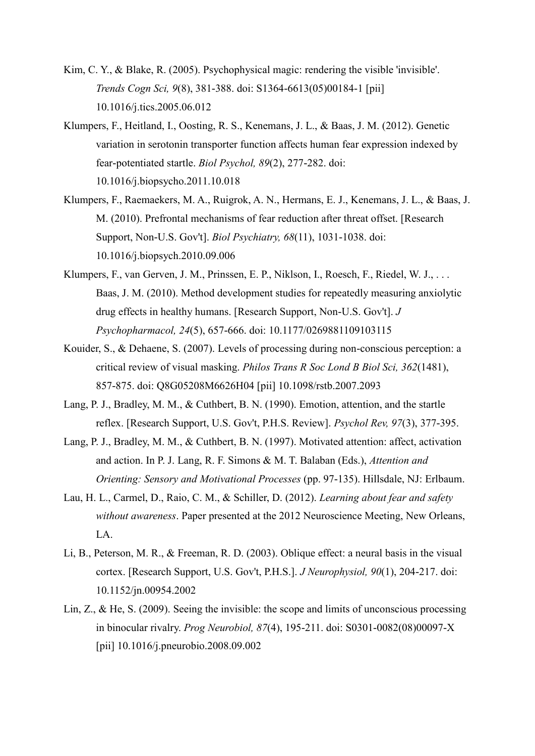- <span id="page-30-3"></span>Kim, C. Y., & Blake, R. (2005). Psychophysical magic: rendering the visible 'invisible'. *Trends Cogn Sci, 9*(8), 381-388. doi: S1364-6613(05)00184-1 [pii] 10.1016/j.tics.2005.06.012
- <span id="page-30-6"></span>Klumpers, F., Heitland, I., Oosting, R. S., Kenemans, J. L., & Baas, J. M. (2012). Genetic variation in serotonin transporter function affects human fear expression indexed by fear-potentiated startle. *Biol Psychol, 89*(2), 277-282. doi: 10.1016/j.biopsycho.2011.10.018
- <span id="page-30-7"></span>Klumpers, F., Raemaekers, M. A., Ruigrok, A. N., Hermans, E. J., Kenemans, J. L., & Baas, J. M. (2010). Prefrontal mechanisms of fear reduction after threat offset. [Research Support, Non-U.S. Gov't]. *Biol Psychiatry, 68*(11), 1031-1038. doi: 10.1016/j.biopsych.2010.09.006
- <span id="page-30-8"></span>Klumpers, F., van Gerven, J. M., Prinssen, E. P., Niklson, I., Roesch, F., Riedel, W. J., . . . Baas, J. M. (2010). Method development studies for repeatedly measuring anxiolytic drug effects in healthy humans. [Research Support, Non-U.S. Gov't]. *J Psychopharmacol, 24*(5), 657-666. doi: 10.1177/0269881109103115
- <span id="page-30-2"></span>Kouider, S., & Dehaene, S. (2007). Levels of processing during non-conscious perception: a critical review of visual masking. *Philos Trans R Soc Lond B Biol Sci, 362*(1481), 857-875. doi: Q8G05208M6626H04 [pii] 10.1098/rstb.2007.2093
- <span id="page-30-1"></span>Lang, P. J., Bradley, M. M., & Cuthbert, B. N. (1990). Emotion, attention, and the startle reflex. [Research Support, U.S. Gov't, P.H.S. Review]. *Psychol Rev, 97*(3), 377-395.
- <span id="page-30-0"></span>Lang, P. J., Bradley, M. M., & Cuthbert, B. N. (1997). Motivated attention: affect, activation and action. In P. J. Lang, R. F. Simons & M. T. Balaban (Eds.), *Attention and Orienting: Sensory and Motivational Processes* (pp. 97-135). Hillsdale, NJ: Erlbaum.
- <span id="page-30-5"></span>Lau, H. L., Carmel, D., Raio, C. M., & Schiller, D. (2012). *Learning about fear and safety without awareness*. Paper presented at the 2012 Neuroscience Meeting, New Orleans, LA.
- <span id="page-30-9"></span>Li, B., Peterson, M. R., & Freeman, R. D. (2003). Oblique effect: a neural basis in the visual cortex. [Research Support, U.S. Gov't, P.H.S.]. *J Neurophysiol, 90*(1), 204-217. doi: 10.1152/jn.00954.2002
- <span id="page-30-4"></span>Lin, Z., & He, S. (2009). Seeing the invisible: the scope and limits of unconscious processing in binocular rivalry. *Prog Neurobiol, 87*(4), 195-211. doi: S0301-0082(08)00097-X [pii] 10.1016/j.pneurobio.2008.09.002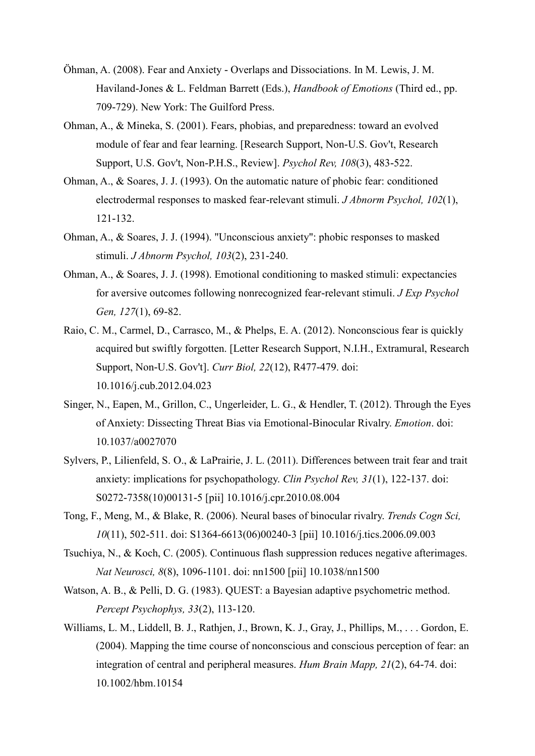- <span id="page-31-1"></span>Öhman, A. (2008). Fear and Anxiety - Overlaps and Dissociations. In M. Lewis, J. M. Haviland-Jones & L. Feldman Barrett (Eds.), *Handbook of Emotions* (Third ed., pp. 709-729). New York: The Guilford Press.
- <span id="page-31-2"></span>Ohman, A., & Mineka, S. (2001). Fears, phobias, and preparedness: toward an evolved module of fear and fear learning. [Research Support, Non-U.S. Gov't, Research Support, U.S. Gov't, Non-P.H.S., Review]. *Psychol Rev, 108*(3), 483-522.
- <span id="page-31-7"></span>Ohman, A., & Soares, J. J. (1993). On the automatic nature of phobic fear: conditioned electrodermal responses to masked fear-relevant stimuli. *J Abnorm Psychol, 102*(1), 121-132.
- <span id="page-31-8"></span>Ohman, A., & Soares, J. J. (1994). "Unconscious anxiety": phobic responses to masked stimuli. *J Abnorm Psychol, 103*(2), 231-240.
- <span id="page-31-9"></span>Ohman, A., & Soares, J. J. (1998). Emotional conditioning to masked stimuli: expectancies for aversive outcomes following nonrecognized fear-relevant stimuli. *J Exp Psychol Gen, 127*(1), 69-82.
- <span id="page-31-10"></span>Raio, C. M., Carmel, D., Carrasco, M., & Phelps, E. A. (2012). Nonconscious fear is quickly acquired but swiftly forgotten. [Letter Research Support, N.I.H., Extramural, Research Support, Non-U.S. Gov't]. *Curr Biol, 22*(12), R477-479. doi: 10.1016/j.cub.2012.04.023
- <span id="page-31-6"></span>Singer, N., Eapen, M., Grillon, C., Ungerleider, L. G., & Hendler, T. (2012). Through the Eyes of Anxiety: Dissecting Threat Bias via Emotional-Binocular Rivalry. *Emotion*. doi: 10.1037/a0027070
- <span id="page-31-0"></span>Sylvers, P., Lilienfeld, S. O., & LaPrairie, J. L. (2011). Differences between trait fear and trait anxiety: implications for psychopathology. *Clin Psychol Rev, 31*(1), 122-137. doi: S0272-7358(10)00131-5 [pii] 10.1016/j.cpr.2010.08.004
- <span id="page-31-4"></span>Tong, F., Meng, M., & Blake, R. (2006). Neural bases of binocular rivalry. *Trends Cogn Sci, 10*(11), 502-511. doi: S1364-6613(06)00240-3 [pii] 10.1016/j.tics.2006.09.003
- <span id="page-31-5"></span>Tsuchiya, N., & Koch, C. (2005). Continuous flash suppression reduces negative afterimages. *Nat Neurosci, 8*(8), 1096-1101. doi: nn1500 [pii] 10.1038/nn1500
- <span id="page-31-11"></span>Watson, A. B., & Pelli, D. G. (1983). QUEST: a Bayesian adaptive psychometric method. *Percept Psychophys, 33*(2), 113-120.
- <span id="page-31-3"></span>Williams, L. M., Liddell, B. J., Rathjen, J., Brown, K. J., Gray, J., Phillips, M., . . . Gordon, E. (2004). Mapping the time course of nonconscious and conscious perception of fear: an integration of central and peripheral measures. *Hum Brain Mapp, 21*(2), 64-74. doi: 10.1002/hbm.10154